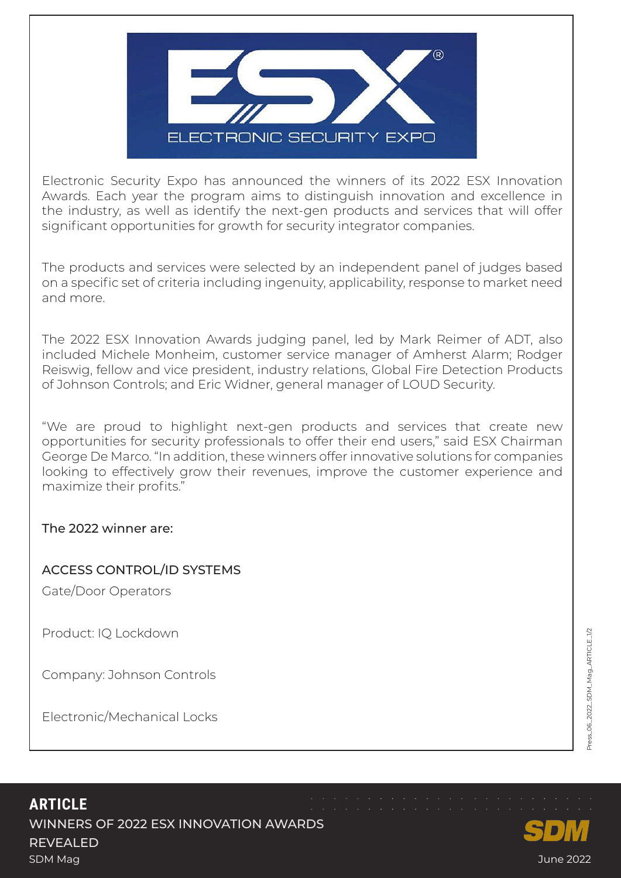

Electronic Security Expo has announced the winners of its 2022 ESX Innovation Awards. Each year the program aims to distinguish innovation and excellence in the industry, as well as identify the next-gen products and services that will offer significant opportunities for growth for security integrator companies.

The products and services were selected by an independent panel of judges based on a specific set of criteria including ingenuity, applicability, response to market need and more.

The 2022 ESX Innovation Awards judging panel, led by Mark Reimer of ADT, also included Michele Monheim, customer service manager of Amherst Alarm; Rodger Reiswig, fellow and vice president, industry relations, Global Fire Detection Products of Johnson Controls; and Eric Widner, general manager of LOUD Security.

"We are proud to highlight next-gen products and services that create new opportunities for security professionals to offer their end users," said ESX Chairman George De Marco. "In addition, these winners offer innovative solutions for companies looking to effectively grow their revenues, improve the customer experience and maximize their profits."

## The 2022 winner are:

## ACCESS CONTROL/ID SYSTEMS

Gate/Door Operators

Product: IQ Lockdown

Company: Johnson Controls

Electronic/Mechanical Locks

## **ARTICLE** WINNERS OF 2022 ESX INNOVATION AWARDS REVEALED SDM Mag June 2022